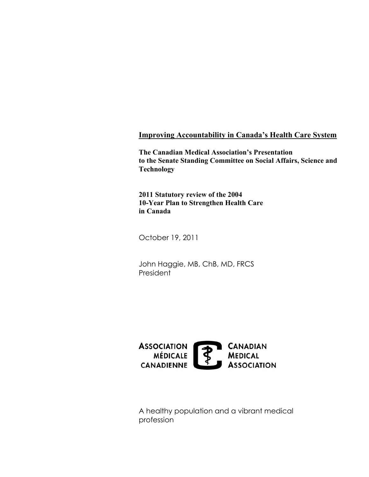#### **Improving Accountability in Canada's Health Care System**

**The Canadian Medical Association's Presentation to the Senate Standing Committee on Social Affairs, Science and Technology** 

**2011 Statutory review of the 2004 10-Year Plan to Strengthen Health Care in Canada** 

October 19, 2011

John Haggie, MB, ChB, MD, FRCS **President** 



A healthy population and a vibrant medical profession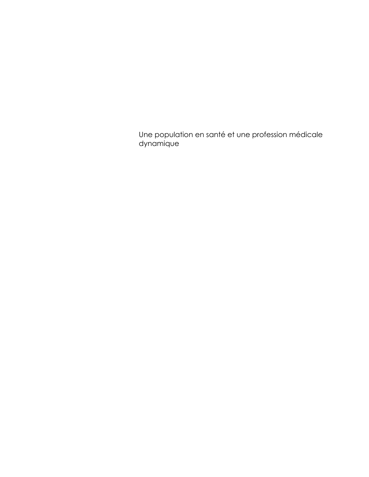Une population en santé et une profession médicale dynamique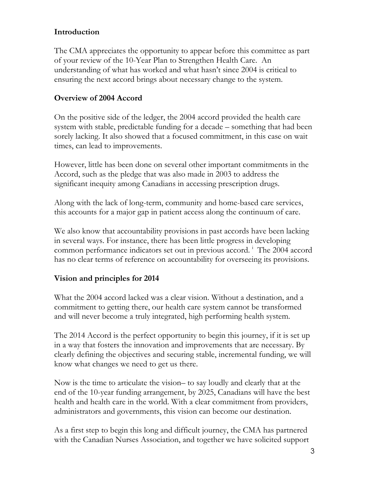#### **Introduction**

The CMA appreciates the opportunity to appear before this committee as part of your review of the 10-Year Plan to Strengthen Health Care. An understanding of what has worked and what hasn't since 2004 is critical to ensuring the next accord brings about necessary change to the system.

#### **Overview of 2004 Accord**

On the positive side of the ledger, the 2004 accord provided the health care system with stable, predictable funding for a decade – something that had been sorely lacking. It also showed that a focused commitment, in this case on wait times, can lead to improvements.

However, little has been done on several other important commitments in the Accord, such as the pledge that was also made in 2003 to address the significant inequity among Canadians in accessing prescription drugs.

Along with the lack of long-term, community and home-based care services, this accounts for a major gap in patient access along the continuum of care.

We also know that accountability provisions in past accords have been lacking in several ways. For instance, there has been little progress in developing common performance [i](#page-7-0)ndicators set out in previous accord.<sup>i</sup> The 2004 accord has no clear terms of reference on accountability for overseeing its provisions.

## **Vision and principles for 2014**

What the 2004 accord lacked was a clear vision. Without a destination, and a commitment to getting there, our health care system cannot be transformed and will never become a truly integrated, high performing health system.

The 2014 Accord is the perfect opportunity to begin this journey, if it is set up in a way that fosters the innovation and improvements that are necessary. By clearly defining the objectives and securing stable, incremental funding, we will know what changes we need to get us there.

Now is the time to articulate the vision– to say loudly and clearly that at the end of the 10-year funding arrangement, by 2025, Canadians will have the best health and health care in the world. With a clear commitment from providers, administrators and governments, this vision can become our destination.

As a first step to begin this long and difficult journey, the CMA has partnered with the Canadian Nurses Association, and together we have solicited support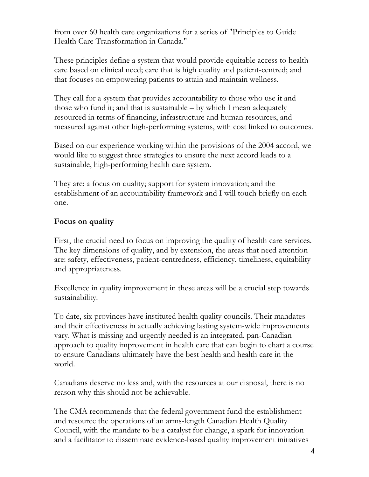from over 60 health care organizations for a series of "Principles to Guide Health Care Transformation in Canada."

These principles define a system that would provide equitable access to health care based on clinical need; care that is high quality and patient-centred; and that focuses on empowering patients to attain and maintain wellness.

They call for a system that provides accountability to those who use it and those who fund it; and that is sustainable – by which I mean adequately resourced in terms of financing, infrastructure and human resources, and measured against other high-performing systems, with cost linked to outcomes.

Based on our experience working within the provisions of the 2004 accord, we would like to suggest three strategies to ensure the next accord leads to a sustainable, high-performing health care system.

They are: a focus on quality; support for system innovation; and the establishment of an accountability framework and I will touch briefly on each one.

## **Focus on quality**

First, the crucial need to focus on improving the quality of health care services. The key dimensions of quality, and by extension, the areas that need attention are: safety, effectiveness, patient-centredness, efficiency, timeliness, equitability and appropriateness.

Excellence in quality improvement in these areas will be a crucial step towards sustainability.

To date, six provinces have instituted health quality councils. Their mandates and their effectiveness in actually achieving lasting system-wide improvements vary. What is missing and urgently needed is an integrated, pan-Canadian approach to quality improvement in health care that can begin to chart a course to ensure Canadians ultimately have the best health and health care in the world.

Canadians deserve no less and, with the resources at our disposal, there is no reason why this should not be achievable.

The CMA recommends that the federal government fund the establishment and resource the operations of an arms-length Canadian Health Quality Council, with the mandate to be a catalyst for change, a spark for innovation and a facilitator to disseminate evidence-based quality improvement initiatives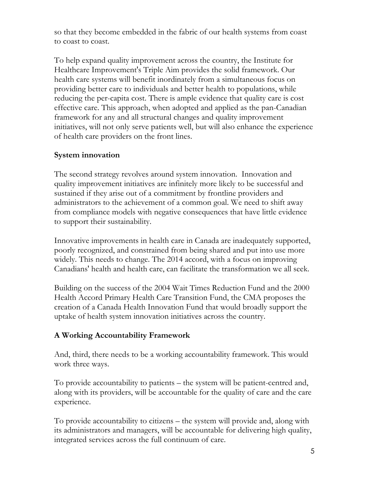so that they become embedded in the fabric of our health systems from coast to coast to coast.

To help expand quality improvement across the country, the Institute for Healthcare Improvement's Triple Aim provides the solid framework. Our health care systems will benefit inordinately from a simultaneous focus on providing better care to individuals and better health to populations, while reducing the per-capita cost. There is ample evidence that quality care is cost effective care. This approach, when adopted and applied as the pan-Canadian framework for any and all structural changes and quality improvement initiatives, will not only serve patients well, but will also enhance the experience of health care providers on the front lines.

#### **System innovation**

The second strategy revolves around system innovation. Innovation and quality improvement initiatives are infinitely more likely to be successful and sustained if they arise out of a commitment by frontline providers and administrators to the achievement of a common goal. We need to shift away from compliance models with negative consequences that have little evidence to support their sustainability.

Innovative improvements in health care in Canada are inadequately supported, poorly recognized, and constrained from being shared and put into use more widely. This needs to change. The 2014 accord, with a focus on improving Canadians' health and health care, can facilitate the transformation we all seek.

Building on the success of the 2004 Wait Times Reduction Fund and the 2000 Health Accord Primary Health Care Transition Fund, the CMA proposes the creation of a Canada Health Innovation Fund that would broadly support the uptake of health system innovation initiatives across the country.

#### **A Working Accountability Framework**

And, third, there needs to be a working accountability framework. This would work three ways.

To provide accountability to patients – the system will be patient-centred and, along with its providers, will be accountable for the quality of care and the care experience.

To provide accountability to citizens – the system will provide and, along with its administrators and managers, will be accountable for delivering high quality, integrated services across the full continuum of care.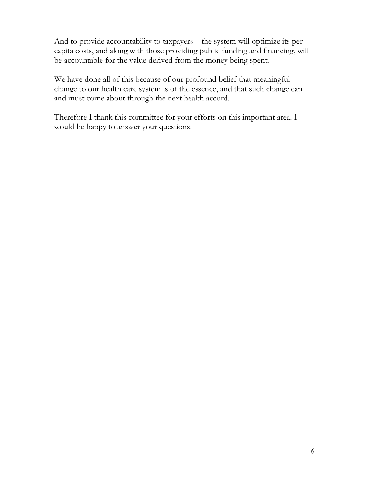And to provide accountability to taxpayers – the system will optimize its percapita costs, and along with those providing public funding and financing, will be accountable for the value derived from the money being spent.

We have done all of this because of our profound belief that meaningful change to our health care system is of the essence, and that such change can and must come about through the next health accord.

Therefore I thank this committee for your efforts on this important area. I would be happy to answer your questions.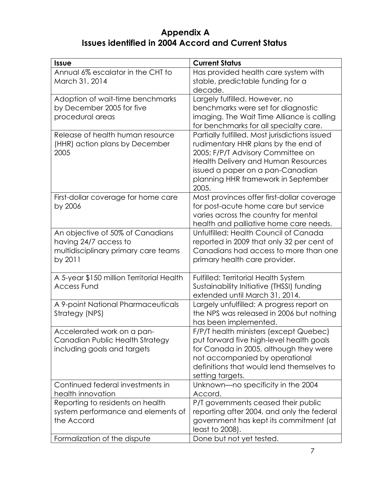# **Appendix A Issues identified in 2004 Accord and Current Status**

| <b>Issue</b>                              | <b>Current Status</b>                                                    |
|-------------------------------------------|--------------------------------------------------------------------------|
| Annual 6% escalator in the CHT to         | Has provided health care system with                                     |
| March 31, 2014                            | stable, predictable funding for a                                        |
|                                           | decade.                                                                  |
| Adoption of wait-time benchmarks          | Largely fulfilled. However, no                                           |
| by December 2005 for five                 | benchmarks were set for diagnostic                                       |
| procedural areas                          | imaging. The Wait Time Alliance is calling                               |
|                                           | for benchmarks for all specialty care.                                   |
| Release of health human resource          | Partially fulfilled. Most jurisdictions issued                           |
| (HHR) action plans by December            | rudimentary HHR plans by the end of                                      |
| 2005                                      | 2005; F/P/T Advisory Committee on                                        |
|                                           | Health Delivery and Human Resources                                      |
|                                           | issued a paper on a pan-Canadian                                         |
|                                           | planning HHR framework in September<br>2005.                             |
| First-dollar coverage for home care       | Most provinces offer first-dollar coverage                               |
| by 2006                                   | for post-acute home care but service                                     |
|                                           | varies across the country for mental                                     |
|                                           | health and palliative home care needs.                                   |
| An objective of 50% of Canadians          | Unfulfilled: Health Council of Canada                                    |
| having 24/7 access to                     | reported in 2009 that only 32 per cent of                                |
| multidisciplinary primary care teams      | Canadians had access to more than one                                    |
| by 2011                                   | primary health care provider.                                            |
|                                           |                                                                          |
| A 5-year \$150 million Territorial Health | <b>Fulfilled: Territorial Health System</b>                              |
| <b>Access Fund</b>                        | Sustainability Initiative (THSSI) funding                                |
|                                           | extended until March 31, 2014.                                           |
| A 9-point National Pharmaceuticals        | Largely unfulfilled: A progress report on                                |
| Strategy (NPS)                            | the NPS was released in 2006 but nothing                                 |
|                                           | has been implemented.                                                    |
| Accelerated work on a pan-                | F/P/T health ministers (except Quebec)                                   |
| Canadian Public Health Strategy           | put forward five high-level health goals                                 |
| including goals and targets               | for Canada in 2005, although they were<br>not accompanied by operational |
|                                           | definitions that would lend themselves to                                |
|                                           | setting targets.                                                         |
| Continued federal investments in          | Unknown—no specificity in the 2004                                       |
| health innovation                         | Accord.                                                                  |
| Reporting to residents on health          | P/T governments ceased their public                                      |
| system performance and elements of        | reporting after 2004, and only the federal                               |
| the Accord                                | government has kept its commitment (at                                   |
|                                           | least to 2008).                                                          |
| Formalization of the dispute              | Done but not yet tested.                                                 |